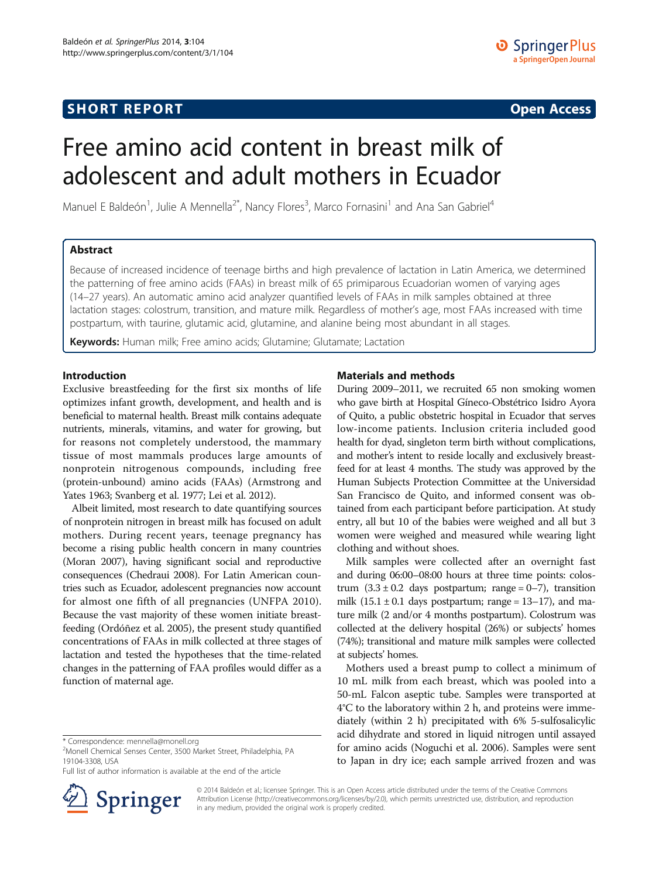## **SHORT REPORT SHORT CONSUMING A SHORT REPORT**

# Free amino acid content in breast milk of adolescent and adult mothers in Ecuador

Manuel E Baldeón<sup>1</sup>, Julie A Mennella<sup>2\*</sup>, Nancy Flores<sup>3</sup>, Marco Fornasini<sup>1</sup> and Ana San Gabriel<sup>4</sup>

## Abstract

Because of increased incidence of teenage births and high prevalence of lactation in Latin America, we determined the patterning of free amino acids (FAAs) in breast milk of 65 primiparous Ecuadorian women of varying ages (14–27 years). An automatic amino acid analyzer quantified levels of FAAs in milk samples obtained at three lactation stages: colostrum, transition, and mature milk. Regardless of mother's age, most FAAs increased with time postpartum, with taurine, glutamic acid, glutamine, and alanine being most abundant in all stages.

Keywords: Human milk; Free amino acids; Glutamine; Glutamate; Lactation

## Introduction

Exclusive breastfeeding for the first six months of life optimizes infant growth, development, and health and is beneficial to maternal health. Breast milk contains adequate nutrients, minerals, vitamins, and water for growing, but for reasons not completely understood, the mammary tissue of most mammals produces large amounts of nonprotein nitrogenous compounds, including free (protein-unbound) amino acids (FAAs) (Armstrong and Yates [1963](#page-3-0); Svanberg et al. [1977;](#page-3-0) Lei et al. [2012](#page-3-0)).

Albeit limited, most research to date quantifying sources of nonprotein nitrogen in breast milk has focused on adult mothers. During recent years, teenage pregnancy has become a rising public health concern in many countries (Moran [2007](#page-3-0)), having significant social and reproductive consequences (Chedraui [2008\)](#page-3-0). For Latin American countries such as Ecuador, adolescent pregnancies now account for almost one fifth of all pregnancies (UNFPA [2010](#page-3-0)). Because the vast majority of these women initiate breastfeeding (Ordóñez et al. [2005](#page-3-0)), the present study quantified concentrations of FAAs in milk collected at three stages of lactation and tested the hypotheses that the time-related changes in the patterning of FAA profiles would differ as a function of maternal age.

<sup>2</sup>Monell Chemical Senses Center, 3500 Market Street, Philadelphia, PA 19104-3308, USA

Full list of author information is available at the end of the article



## Materials and methods

During 2009–2011, we recruited 65 non smoking women who gave birth at Hospital Gíneco-Obstétrico Isidro Ayora of Quito, a public obstetric hospital in Ecuador that serves low-income patients. Inclusion criteria included good health for dyad, singleton term birth without complications, and mother's intent to reside locally and exclusively breastfeed for at least 4 months. The study was approved by the Human Subjects Protection Committee at the Universidad San Francisco de Quito, and informed consent was obtained from each participant before participation. At study entry, all but 10 of the babies were weighed and all but 3 women were weighed and measured while wearing light clothing and without shoes.

Milk samples were collected after an overnight fast and during 06:00–08:00 hours at three time points: colostrum  $(3.3 \pm 0.2)$  days postpartum; range = 0–7), transition milk  $(15.1 \pm 0.1)$  days postpartum; range = 13–17), and mature milk (2 and/or 4 months postpartum). Colostrum was collected at the delivery hospital (26%) or subjects' homes (74%); transitional and mature milk samples were collected at subjects' homes.

Mothers used a breast pump to collect a minimum of 10 mL milk from each breast, which was pooled into a 50-mL Falcon aseptic tube. Samples were transported at 4°C to the laboratory within 2 h, and proteins were immediately (within 2 h) precipitated with 6% 5-sulfosalicylic acid dihydrate and stored in liquid nitrogen until assayed for amino acids (Noguchi et al. [2006\)](#page-3-0). Samples were sent to Japan in dry ice; each sample arrived frozen and was

© 2014 Baldeón et al.; licensee Springer. This is an Open Access article distributed under the terms of the Creative Commons Attribution License [\(http://creativecommons.org/licenses/by/2.0\)](http://creativecommons.org/licenses/by/2.0), which permits unrestricted use, distribution, and reproduction in any medium, provided the original work is properly credited.

<sup>\*</sup> Correspondence: [mennella@monell.org](mailto:mennella@monell.org) <sup>2</sup>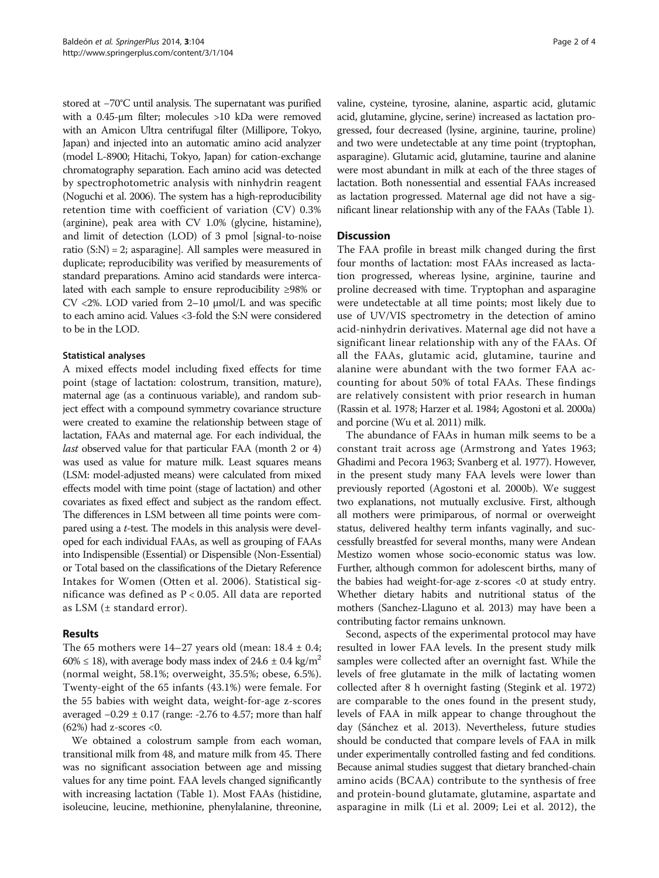stored at −70°C until analysis. The supernatant was purified with a 0.45-μm filter; molecules >10 kDa were removed with an Amicon Ultra centrifugal filter (Millipore, Tokyo, Japan) and injected into an automatic amino acid analyzer (model L-8900; Hitachi, Tokyo, Japan) for cation-exchange chromatography separation. Each amino acid was detected by spectrophotometric analysis with ninhydrin reagent (Noguchi et al. [2006\)](#page-3-0). The system has a high-reproducibility retention time with coefficient of variation (CV) 0.3% (arginine), peak area with CV 1.0% (glycine, histamine), and limit of detection (LOD) of 3 pmol [signal-to-noise ratio  $(S:N) = 2$ ; asparagine]. All samples were measured in duplicate; reproducibility was verified by measurements of standard preparations. Amino acid standards were intercalated with each sample to ensure reproducibility ≥98% or CV <2%. LOD varied from 2–10 μmol/L and was specific to each amino acid. Values <3-fold the S:N were considered to be in the LOD.

## Statistical analyses

A mixed effects model including fixed effects for time point (stage of lactation: colostrum, transition, mature), maternal age (as a continuous variable), and random subject effect with a compound symmetry covariance structure were created to examine the relationship between stage of lactation, FAAs and maternal age. For each individual, the last observed value for that particular FAA (month 2 or 4) was used as value for mature milk. Least squares means (LSM: model-adjusted means) were calculated from mixed effects model with time point (stage of lactation) and other covariates as fixed effect and subject as the random effect. The differences in LSM between all time points were compared using a t-test. The models in this analysis were developed for each individual FAAs, as well as grouping of FAAs into Indispensible (Essential) or Dispensible (Non-Essential) or Total based on the classifications of the Dietary Reference Intakes for Women (Otten et al. [2006](#page-3-0)). Statistical significance was defined as P < 0.05. All data are reported as LSM (± standard error).

## Results

The 65 mothers were  $14-27$  years old (mean:  $18.4 \pm 0.4$ ; 60%  $\leq$  18), with average body mass index of 24.6  $\pm$  0.4 kg/m<sup>2</sup> (normal weight, 58.1%; overweight, 35.5%; obese, 6.5%). Twenty-eight of the 65 infants (43.1%) were female. For the 55 babies with weight data, weight-for-age z-scores averaged −0.29 ± 0.17 (range: -2.76 to 4.57; more than half  $(62%)$  had z-scores <0.

We obtained a colostrum sample from each woman, transitional milk from 48, and mature milk from 45. There was no significant association between age and missing values for any time point. FAA levels changed significantly with increasing lactation (Table [1\)](#page-2-0). Most FAAs (histidine, isoleucine, leucine, methionine, phenylalanine, threonine,

valine, cysteine, tyrosine, alanine, aspartic acid, glutamic acid, glutamine, glycine, serine) increased as lactation progressed, four decreased (lysine, arginine, taurine, proline) and two were undetectable at any time point (tryptophan, asparagine). Glutamic acid, glutamine, taurine and alanine were most abundant in milk at each of the three stages of lactation. Both nonessential and essential FAAs increased as lactation progressed. Maternal age did not have a significant linear relationship with any of the FAAs (Table [1\)](#page-2-0).

## **Discussion**

The FAA profile in breast milk changed during the first four months of lactation: most FAAs increased as lactation progressed, whereas lysine, arginine, taurine and proline decreased with time. Tryptophan and asparagine were undetectable at all time points; most likely due to use of UV/VIS spectrometry in the detection of amino acid-ninhydrin derivatives. Maternal age did not have a significant linear relationship with any of the FAAs. Of all the FAAs, glutamic acid, glutamine, taurine and alanine were abundant with the two former FAA accounting for about 50% of total FAAs. These findings are relatively consistent with prior research in human (Rassin et al. [1978](#page-3-0); Harzer et al. [1984](#page-3-0); Agostoni et al. [2000a](#page-3-0)) and porcine (Wu et al. [2011](#page-3-0)) milk.

The abundance of FAAs in human milk seems to be a constant trait across age (Armstrong and Yates [1963](#page-3-0); Ghadimi and Pecora [1963;](#page-3-0) Svanberg et al. [1977](#page-3-0)). However, in the present study many FAA levels were lower than previously reported (Agostoni et al. [2000b](#page-3-0)). We suggest two explanations, not mutually exclusive. First, although all mothers were primiparous, of normal or overweight status, delivered healthy term infants vaginally, and successfully breastfed for several months, many were Andean Mestizo women whose socio-economic status was low. Further, although common for adolescent births, many of the babies had weight-for-age z-scores <0 at study entry. Whether dietary habits and nutritional status of the mothers (Sanchez-Llaguno et al. [2013](#page-3-0)) may have been a contributing factor remains unknown.

Second, aspects of the experimental protocol may have resulted in lower FAA levels. In the present study milk samples were collected after an overnight fast. While the levels of free glutamate in the milk of lactating women collected after 8 h overnight fasting (Stegink et al. [1972](#page-3-0)) are comparable to the ones found in the present study, levels of FAA in milk appear to change throughout the day (Sánchez et al. [2013](#page-3-0)). Nevertheless, future studies should be conducted that compare levels of FAA in milk under experimentally controlled fasting and fed conditions. Because animal studies suggest that dietary branched-chain amino acids (BCAA) contribute to the synthesis of free and protein-bound glutamate, glutamine, aspartate and asparagine in milk (Li et al. [2009](#page-3-0); Lei et al. [2012\)](#page-3-0), the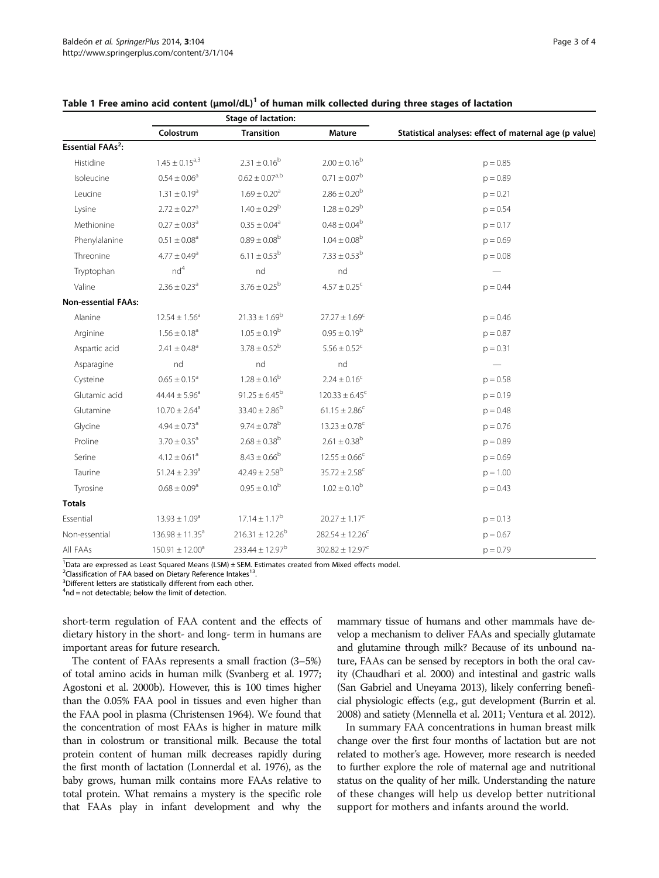|                                    | Stage of lactation:           |                               |                                |                                                        |
|------------------------------------|-------------------------------|-------------------------------|--------------------------------|--------------------------------------------------------|
|                                    | Colostrum                     | <b>Transition</b>             | Mature                         | Statistical analyses: effect of maternal age (p value) |
| <b>Essential FAAs<sup>2</sup>:</b> |                               |                               |                                |                                                        |
| Histidine                          | $1.45 \pm 0.15^{a,3}$         | $2.31 \pm 0.16^{b}$           | $2.00 \pm 0.16^b$              | $p = 0.85$                                             |
| Isoleucine                         | $0.54 \pm 0.06^a$             | $0.62 \pm 0.07^{a,b}$         | $0.71 \pm 0.07^b$              | $p = 0.89$                                             |
| Leucine                            | $1.31 \pm 0.19^a$             | $1.69 \pm 0.20$ <sup>a</sup>  | $2.86 \pm 0.20^b$              | $p = 0.21$                                             |
| Lysine                             | $2.72 \pm 0.27$ <sup>a</sup>  | $1.40 \pm 0.29^b$             | $1.28 \pm 0.29^b$              | $p = 0.54$                                             |
| Methionine                         | $0.27 \pm 0.03$ <sup>a</sup>  | $0.35 \pm 0.04$ <sup>a</sup>  | $0.48 \pm 0.04^b$              | $p = 0.17$                                             |
| Phenylalanine                      | $0.51 \pm 0.08$ <sup>a</sup>  | $0.89 \pm 0.08^b$             | $1.04 \pm 0.08^b$              | $p = 0.69$                                             |
| Threonine                          | $4.77 \pm 0.49$ <sup>a</sup>  | $6.11 \pm 0.53^b$             | $7.33\pm0.53^{\rm b}$          | $p = 0.08$                                             |
| Tryptophan                         | nd <sup>4</sup>               | nd                            | nd                             |                                                        |
| Valine                             | $2.36 \pm 0.23$ <sup>a</sup>  | $3.76 \pm 0.25^{\rm b}$       | $4.57 \pm 0.25$ <sup>c</sup>   | $p = 0.44$                                             |
| <b>Non-essential FAAs:</b>         |                               |                               |                                |                                                        |
| Alanine                            | $12.54 \pm 1.56^a$            | $21.33 \pm 1.69^b$            | $27.27 \pm 1.69^c$             | $p = 0.46$                                             |
| Arginine                           | $1.56 \pm 0.18$ <sup>a</sup>  | $1.05 \pm 0.19^b$             | $0.95 \pm 0.19^b$              | $p = 0.87$                                             |
| Aspartic acid                      | $2.41 \pm 0.48$ <sup>a</sup>  | $3.78 \pm 0.52^b$             | $5.56 \pm 0.52$ <sup>c</sup>   | $p = 0.31$                                             |
| Asparagine                         | nd                            | nd                            | nd                             |                                                        |
| Cysteine                           | $0.65 \pm 0.15^a$             | $1.28 \pm 0.16^{b}$           | $2.24 \pm 0.16^c$              | $p = 0.58$                                             |
| Glutamic acid                      | $44.44 \pm 5.96^{\circ}$      | $91.25 \pm 6.45^{\rm b}$      | $120.33 \pm 6.45$ <sup>c</sup> | $p = 0.19$                                             |
| Glutamine                          | $10.70 \pm 2.64$ <sup>a</sup> | $33.40 \pm 2.86^b$            | $61.15 \pm 2.86^c$             | $p = 0.48$                                             |
| Glycine                            | $4.94 \pm 0.73$ <sup>a</sup>  | $9.74 \pm 0.78^b$             | $13.23 \pm 0.78^c$             | $p = 0.76$                                             |
| Proline                            | $3.70 \pm 0.35$ <sup>a</sup>  | $2.68 \pm 0.38$ <sup>b</sup>  | $2.61 \pm 0.38$ <sup>b</sup>   | $p = 0.89$                                             |
| Serine                             | $4.12 \pm 0.61$ <sup>a</sup>  | $8.43 \pm 0.66^b$             | $12.55 \pm 0.66^c$             | $p = 0.69$                                             |
| Taurine                            | $51.24 \pm 2.39$ <sup>a</sup> | $42.49 \pm 2.58$ <sup>b</sup> | $35.72 \pm 2.58^c$             | $p = 1.00$                                             |
| Tyrosine                           | $0.68 \pm 0.09$ <sup>a</sup>  | $0.95 \pm 0.10^{b}$           | $1.02 \pm 0.10^b$              | $p = 0.43$                                             |
| <b>Totals</b>                      |                               |                               |                                |                                                        |
| Essential                          | $13.93 \pm 1.09^a$            | $17.14 \pm 1.17^b$            | $20.27 \pm 1.17^c$             | $p = 0.13$                                             |
| Non-essential                      | $136.98 \pm 11.35^a$          | $216.31 \pm 12.26^b$          | $282.54 \pm 12.26^c$           | $p = 0.67$                                             |
| All FAAs                           | $150.91 \pm 12.00^a$          | $233.44 \pm 12.97^b$          | $302.82 \pm 12.97^c$           | $p = 0.79$                                             |

#### <span id="page-2-0"></span>Table 1 Free amino acid content  $(\mu \text{mol}/\text{dL})^1$  of human milk collected during three stages of lactation

<sup>1</sup>Data are expressed as Least Squared Means (LSM) ± SEM. Estimates created from Mixed effects model.

<sup>2</sup> Classification of FAA based on Dietary Reference Intakes<sup>13</sup>.<br><sup>3</sup> Different letters are statistically different from each other

<sup>3</sup>Different letters are statistically different from each other.

 $4<sup>4</sup>$ nd = not detectable; below the limit of detection.

short-term regulation of FAA content and the effects of dietary history in the short- and long- term in humans are important areas for future research.

The content of FAAs represents a small fraction (3–5%) of total amino acids in human milk (Svanberg et al. [1977](#page-3-0); Agostoni et al. [2000b\)](#page-3-0). However, this is 100 times higher than the 0.05% FAA pool in tissues and even higher than the FAA pool in plasma (Christensen [1964\)](#page-3-0). We found that the concentration of most FAAs is higher in mature milk than in colostrum or transitional milk. Because the total protein content of human milk decreases rapidly during the first month of lactation (Lonnerdal et al. [1976\)](#page-3-0), as the baby grows, human milk contains more FAAs relative to total protein. What remains a mystery is the specific role that FAAs play in infant development and why the

mammary tissue of humans and other mammals have develop a mechanism to deliver FAAs and specially glutamate and glutamine through milk? Because of its unbound nature, FAAs can be sensed by receptors in both the oral cavity (Chaudhari et al. [2000\)](#page-3-0) and intestinal and gastric walls (San Gabriel and Uneyama [2013](#page-3-0)), likely conferring beneficial physiologic effects (e.g., gut development (Burrin et al. [2008](#page-3-0)) and satiety (Mennella et al. [2011;](#page-3-0) Ventura et al. [2012](#page-3-0)).

In summary FAA concentrations in human breast milk change over the first four months of lactation but are not related to mother's age. However, more research is needed to further explore the role of maternal age and nutritional status on the quality of her milk. Understanding the nature of these changes will help us develop better nutritional support for mothers and infants around the world.